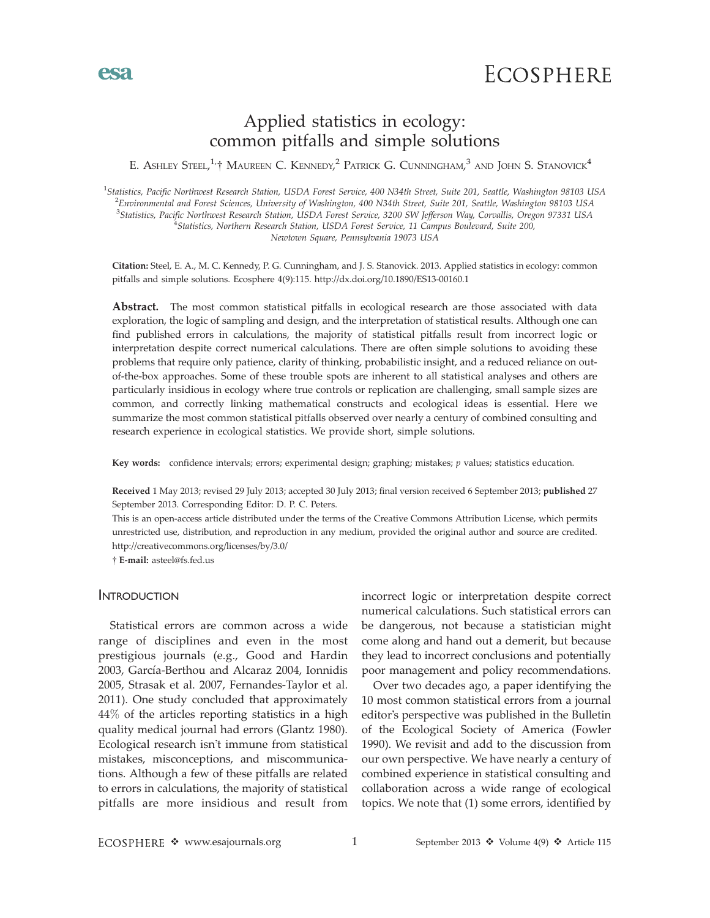# Applied statistics in ecology: common pitfalls and simple solutions

E. Ashley Steel,<sup>1,</sup>† Maureen C. Kennedy,<sup>2</sup> Patrick G. Cunningham,<sup>3</sup> and John S. Stanovick<sup>4</sup>

<sup>1</sup>Statistics, Pacific Northwest Research Station, USDA Forest Service, 400 N34th Street, Suite 201, Seattle, Washington 98103 USA<br><sup>2</sup>Euniconwantal and Forest Sciences, University of Washington, 400 N34th Street, Suite 201 <sup>2</sup>Environmental and Forest Sciences, University of Washington, 400 N34th Street, Suite 201, Seattle, Washington 98103 USA <sup>3</sup>Statistics, Pacific Northwest Research Station, USDA Forest Service, 3200 SW Jefferson Way, Corvallis, Oregon 97331 USA<br><sup>4</sup>Statistics, Northern Research Station, USDA Forest Service, 11 Cannus Boulevard, Suite 200 Statistics, Northern Research Station, USDA Forest Service, 11 Campus Boulevard, Suite 200, Newtown Square, Pennsylvania 19073 USA

Citation: Steel, E. A., M. C. Kennedy, P. G. Cunningham, and J. S. Stanovick. 2013. Applied statistics in ecology: common pitfalls and simple solutions. Ecosphere 4(9):115. http://dx.doi.org/10.1890/ES13-00160.1

Abstract. The most common statistical pitfalls in ecological research are those associated with data exploration, the logic of sampling and design, and the interpretation of statistical results. Although one can find published errors in calculations, the majority of statistical pitfalls result from incorrect logic or interpretation despite correct numerical calculations. There are often simple solutions to avoiding these problems that require only patience, clarity of thinking, probabilistic insight, and a reduced reliance on outof-the-box approaches. Some of these trouble spots are inherent to all statistical analyses and others are particularly insidious in ecology where true controls or replication are challenging, small sample sizes are common, and correctly linking mathematical constructs and ecological ideas is essential. Here we summarize the most common statistical pitfalls observed over nearly a century of combined consulting and research experience in ecological statistics. We provide short, simple solutions.

Key words: confidence intervals; errors; experimental design; graphing; mistakes; p values; statistics education.

Received 1 May 2013; revised 29 July 2013; accepted 30 July 2013; final version received 6 September 2013; published 27 September 2013. Corresponding Editor: D. P. C. Peters.

This is an open-access article distributed under the terms of the Creative Commons Attribution License, which permits unrestricted use, distribution, and reproduction in any medium, provided the original author and source are credited. http://creativecommons.org/licenses/by/3.0/

- E-mail: asteel@fs.fed.us

### **INTRODUCTION**

Statistical errors are common across a wide range of disciplines and even in the most prestigious journals (e.g., Good and Hardin 2003, García-Berthou and Alcaraz 2004, Ionnidis 2005, Strasak et al. 2007, Fernandes-Taylor et al. 2011). One study concluded that approximately 44% of the articles reporting statistics in a high quality medical journal had errors (Glantz 1980). Ecological research isn't immune from statistical mistakes, misconceptions, and miscommunications. Although a few of these pitfalls are related to errors in calculations, the majority of statistical pitfalls are more insidious and result from

incorrect logic or interpretation despite correct numerical calculations. Such statistical errors can be dangerous, not because a statistician might come along and hand out a demerit, but because they lead to incorrect conclusions and potentially poor management and policy recommendations.

Over two decades ago, a paper identifying the 10 most common statistical errors from a journal editor's perspective was published in the Bulletin of the Ecological Society of America (Fowler 1990). We revisit and add to the discussion from our own perspective. We have nearly a century of combined experience in statistical consulting and collaboration across a wide range of ecological topics. We note that (1) some errors, identified by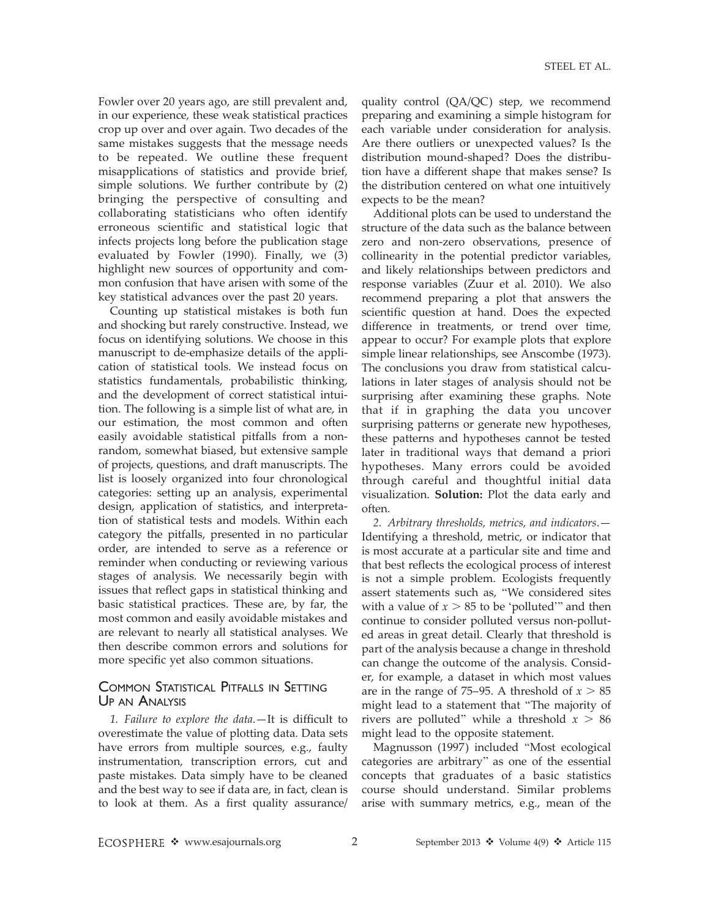Fowler over 20 years ago, are still prevalent and, in our experience, these weak statistical practices crop up over and over again. Two decades of the same mistakes suggests that the message needs to be repeated. We outline these frequent misapplications of statistics and provide brief, simple solutions. We further contribute by (2) bringing the perspective of consulting and collaborating statisticians who often identify erroneous scientific and statistical logic that infects projects long before the publication stage evaluated by Fowler (1990). Finally, we (3) highlight new sources of opportunity and common confusion that have arisen with some of the key statistical advances over the past 20 years.

Counting up statistical mistakes is both fun and shocking but rarely constructive. Instead, we focus on identifying solutions. We choose in this manuscript to de-emphasize details of the application of statistical tools. We instead focus on statistics fundamentals, probabilistic thinking, and the development of correct statistical intuition. The following is a simple list of what are, in our estimation, the most common and often easily avoidable statistical pitfalls from a nonrandom, somewhat biased, but extensive sample of projects, questions, and draft manuscripts. The list is loosely organized into four chronological categories: setting up an analysis, experimental design, application of statistics, and interpretation of statistical tests and models. Within each category the pitfalls, presented in no particular order, are intended to serve as a reference or reminder when conducting or reviewing various stages of analysis. We necessarily begin with issues that reflect gaps in statistical thinking and basic statistical practices. These are, by far, the most common and easily avoidable mistakes and are relevant to nearly all statistical analyses. We then describe common errors and solutions for more specific yet also common situations.

# COMMON STATISTICAL PITFALLS IN SETTING UP AN ANALYSIS

1. Failure to explore the data.—It is difficult to overestimate the value of plotting data. Data sets have errors from multiple sources, e.g., faulty instrumentation, transcription errors, cut and paste mistakes. Data simply have to be cleaned and the best way to see if data are, in fact, clean is to look at them. As a first quality assurance/ quality control (QA/QC) step, we recommend preparing and examining a simple histogram for each variable under consideration for analysis. Are there outliers or unexpected values? Is the distribution mound-shaped? Does the distribution have a different shape that makes sense? Is the distribution centered on what one intuitively expects to be the mean?

Additional plots can be used to understand the structure of the data such as the balance between zero and non-zero observations, presence of collinearity in the potential predictor variables, and likely relationships between predictors and response variables (Zuur et al. 2010). We also recommend preparing a plot that answers the scientific question at hand. Does the expected difference in treatments, or trend over time, appear to occur? For example plots that explore simple linear relationships, see Anscombe (1973). The conclusions you draw from statistical calculations in later stages of analysis should not be surprising after examining these graphs. Note that if in graphing the data you uncover surprising patterns or generate new hypotheses, these patterns and hypotheses cannot be tested later in traditional ways that demand a priori hypotheses. Many errors could be avoided through careful and thoughtful initial data visualization. Solution: Plot the data early and often.

2. Arbitrary thresholds, metrics, and indicators.— Identifying a threshold, metric, or indicator that is most accurate at a particular site and time and that best reflects the ecological process of interest is not a simple problem. Ecologists frequently assert statements such as, ''We considered sites with a value of  $x > 85$  to be 'polluted'" and then continue to consider polluted versus non-polluted areas in great detail. Clearly that threshold is part of the analysis because a change in threshold can change the outcome of the analysis. Consider, for example, a dataset in which most values are in the range of 75–95. A threshold of  $x > 85$ might lead to a statement that ''The majority of rivers are polluted" while a threshold  $x > 86$ might lead to the opposite statement.

Magnusson (1997) included ''Most ecological categories are arbitrary'' as one of the essential concepts that graduates of a basic statistics course should understand. Similar problems arise with summary metrics, e.g., mean of the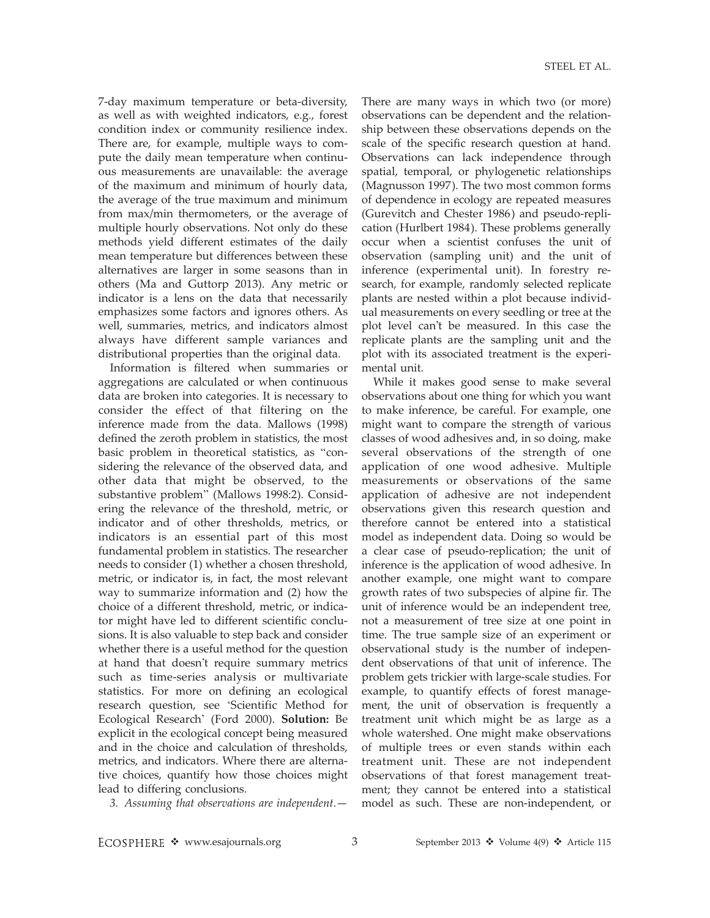7-day maximum temperature or beta-diversity, as well as with weighted indicators, e.g., forest condition index or community resilience index. There are, for example, multiple ways to compute the daily mean temperature when continuous measurements are unavailable: the average of the maximum and minimum of hourly data, the average of the true maximum and minimum from max/min thermometers, or the average of multiple hourly observations. Not only do these methods yield different estimates of the daily mean temperature but differences between these alternatives are larger in some seasons than in others (Ma and Guttorp 2013). Any metric or indicator is a lens on the data that necessarily emphasizes some factors and ignores others. As well, summaries, metrics, and indicators almost always have different sample variances and distributional properties than the original data.

Information is filtered when summaries or aggregations are calculated or when continuous data are broken into categories. It is necessary to consider the effect of that filtering on the inference made from the data. Mallows (1998) defined the zeroth problem in statistics, the most basic problem in theoretical statistics, as ''considering the relevance of the observed data, and other data that might be observed, to the substantive problem'' (Mallows 1998:2). Considering the relevance of the threshold, metric, or indicator and of other thresholds, metrics, or indicators is an essential part of this most fundamental problem in statistics. The researcher needs to consider (1) whether a chosen threshold, metric, or indicator is, in fact, the most relevant way to summarize information and (2) how the choice of a different threshold, metric, or indicator might have led to different scientific conclusions. It is also valuable to step back and consider whether there is a useful method for the question at hand that doesn't require summary metrics such as time-series analysis or multivariate statistics. For more on defining an ecological research question, see 'Scientific Method for Ecological Research' (Ford 2000). Solution: Be explicit in the ecological concept being measured and in the choice and calculation of thresholds, metrics, and indicators. Where there are alternative choices, quantify how those choices might lead to differing conclusions.

3. Assuming that observations are independent.—

There are many ways in which two (or more) observations can be dependent and the relationship between these observations depends on the scale of the specific research question at hand. Observations can lack independence through spatial, temporal, or phylogenetic relationships (Magnusson 1997). The two most common forms of dependence in ecology are repeated measures (Gurevitch and Chester 1986) and pseudo-replication (Hurlbert 1984). These problems generally occur when a scientist confuses the unit of observation (sampling unit) and the unit of inference (experimental unit). In forestry research, for example, randomly selected replicate plants are nested within a plot because individual measurements on every seedling or tree at the plot level can't be measured. In this case the replicate plants are the sampling unit and the plot with its associated treatment is the experimental unit.

While it makes good sense to make several observations about one thing for which you want to make inference, be careful. For example, one might want to compare the strength of various classes of wood adhesives and, in so doing, make several observations of the strength of one application of one wood adhesive. Multiple measurements or observations of the same application of adhesive are not independent observations given this research question and therefore cannot be entered into a statistical model as independent data. Doing so would be a clear case of pseudo-replication; the unit of inference is the application of wood adhesive. In another example, one might want to compare growth rates of two subspecies of alpine fir. The unit of inference would be an independent tree, not a measurement of tree size at one point in time. The true sample size of an experiment or observational study is the number of independent observations of that unit of inference. The problem gets trickier with large-scale studies. For example, to quantify effects of forest management, the unit of observation is frequently a treatment unit which might be as large as a whole watershed. One might make observations of multiple trees or even stands within each treatment unit. These are not independent observations of that forest management treatment; they cannot be entered into a statistical model as such. These are non-independent, or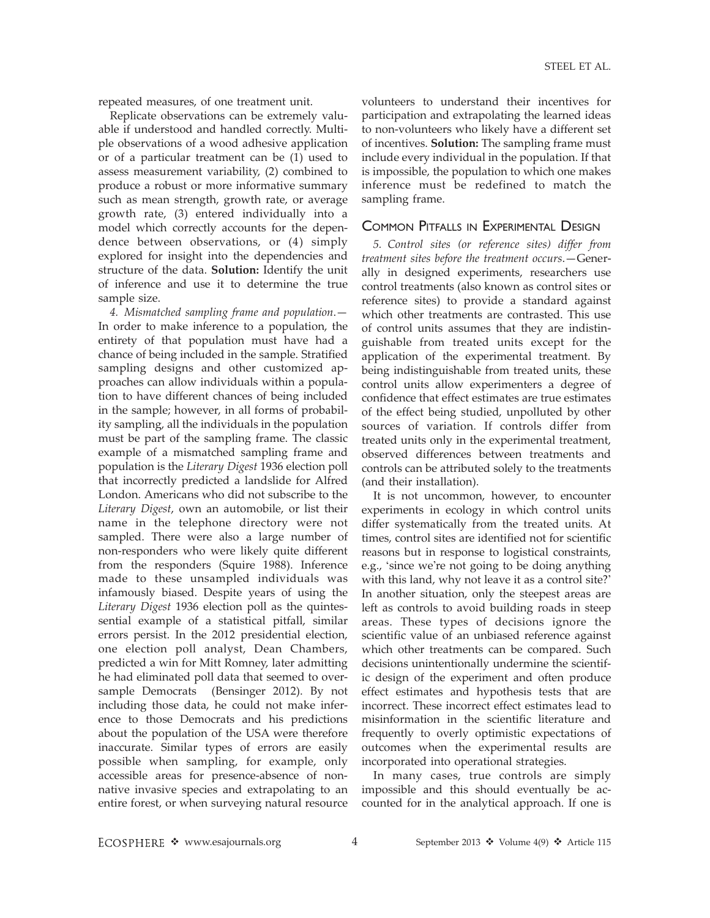repeated measures, of one treatment unit.

Replicate observations can be extremely valuable if understood and handled correctly. Multiple observations of a wood adhesive application or of a particular treatment can be (1) used to assess measurement variability, (2) combined to produce a robust or more informative summary such as mean strength, growth rate, or average growth rate, (3) entered individually into a model which correctly accounts for the dependence between observations, or (4) simply explored for insight into the dependencies and structure of the data. Solution: Identify the unit of inference and use it to determine the true sample size.

4. Mismatched sampling frame and population.— In order to make inference to a population, the entirety of that population must have had a chance of being included in the sample. Stratified sampling designs and other customized approaches can allow individuals within a population to have different chances of being included in the sample; however, in all forms of probability sampling, all the individuals in the population must be part of the sampling frame. The classic example of a mismatched sampling frame and population is the Literary Digest 1936 election poll that incorrectly predicted a landslide for Alfred London. Americans who did not subscribe to the Literary Digest, own an automobile, or list their name in the telephone directory were not sampled. There were also a large number of non-responders who were likely quite different from the responders (Squire 1988). Inference made to these unsampled individuals was infamously biased. Despite years of using the Literary Digest 1936 election poll as the quintessential example of a statistical pitfall, similar errors persist. In the 2012 presidential election, one election poll analyst, Dean Chambers, predicted a win for Mitt Romney, later admitting he had eliminated poll data that seemed to oversample Democrats (Bensinger 2012). By not including those data, he could not make inference to those Democrats and his predictions about the population of the USA were therefore inaccurate. Similar types of errors are easily possible when sampling, for example, only accessible areas for presence-absence of nonnative invasive species and extrapolating to an entire forest, or when surveying natural resource

volunteers to understand their incentives for participation and extrapolating the learned ideas to non-volunteers who likely have a different set of incentives. Solution: The sampling frame must include every individual in the population. If that is impossible, the population to which one makes inference must be redefined to match the sampling frame.

### COMMON PITFALLS IN EXPERIMENTAL DESIGN

5. Control sites (or reference sites) differ from treatment sites before the treatment occurs.—Generally in designed experiments, researchers use control treatments (also known as control sites or reference sites) to provide a standard against which other treatments are contrasted. This use of control units assumes that they are indistinguishable from treated units except for the application of the experimental treatment. By being indistinguishable from treated units, these control units allow experimenters a degree of confidence that effect estimates are true estimates of the effect being studied, unpolluted by other sources of variation. If controls differ from treated units only in the experimental treatment, observed differences between treatments and controls can be attributed solely to the treatments (and their installation).

It is not uncommon, however, to encounter experiments in ecology in which control units differ systematically from the treated units. At times, control sites are identified not for scientific reasons but in response to logistical constraints, e.g., 'since we're not going to be doing anything with this land, why not leave it as a control site?' In another situation, only the steepest areas are left as controls to avoid building roads in steep areas. These types of decisions ignore the scientific value of an unbiased reference against which other treatments can be compared. Such decisions unintentionally undermine the scientific design of the experiment and often produce effect estimates and hypothesis tests that are incorrect. These incorrect effect estimates lead to misinformation in the scientific literature and frequently to overly optimistic expectations of outcomes when the experimental results are incorporated into operational strategies.

In many cases, true controls are simply impossible and this should eventually be accounted for in the analytical approach. If one is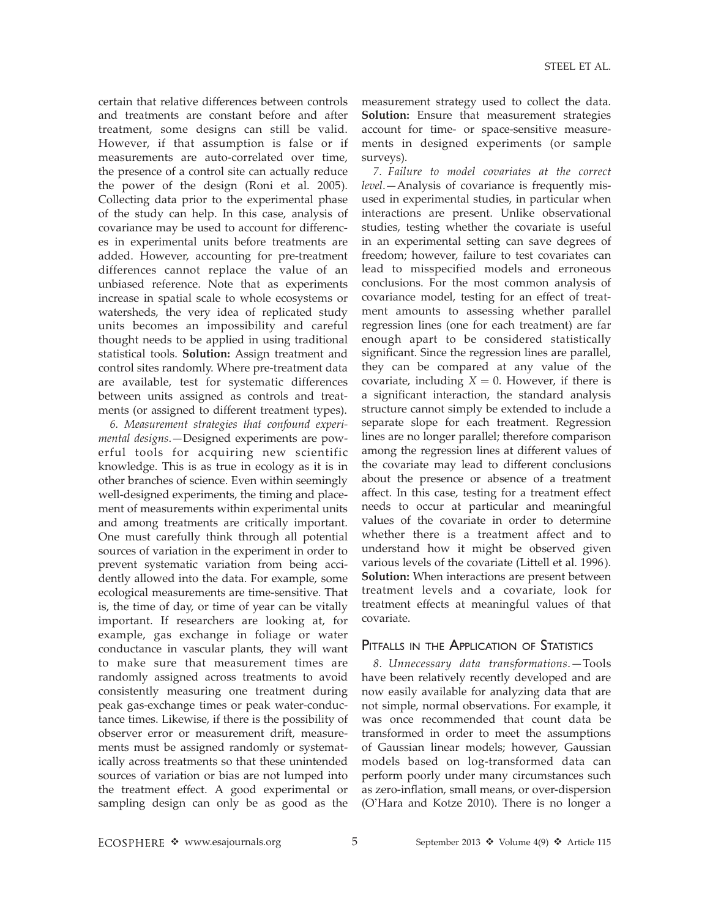certain that relative differences between controls and treatments are constant before and after treatment, some designs can still be valid. However, if that assumption is false or if measurements are auto-correlated over time, the presence of a control site can actually reduce the power of the design (Roni et al. 2005). Collecting data prior to the experimental phase of the study can help. In this case, analysis of covariance may be used to account for differences in experimental units before treatments are added. However, accounting for pre-treatment differences cannot replace the value of an unbiased reference. Note that as experiments increase in spatial scale to whole ecosystems or watersheds, the very idea of replicated study units becomes an impossibility and careful thought needs to be applied in using traditional statistical tools. Solution: Assign treatment and control sites randomly. Where pre-treatment data are available, test for systematic differences between units assigned as controls and treatments (or assigned to different treatment types).

6. Measurement strategies that confound experimental designs.—Designed experiments are powerful tools for acquiring new scientific knowledge. This is as true in ecology as it is in other branches of science. Even within seemingly well-designed experiments, the timing and placement of measurements within experimental units and among treatments are critically important. One must carefully think through all potential sources of variation in the experiment in order to prevent systematic variation from being accidently allowed into the data. For example, some ecological measurements are time-sensitive. That is, the time of day, or time of year can be vitally important. If researchers are looking at, for example, gas exchange in foliage or water conductance in vascular plants, they will want to make sure that measurement times are randomly assigned across treatments to avoid consistently measuring one treatment during peak gas-exchange times or peak water-conductance times. Likewise, if there is the possibility of observer error or measurement drift, measurements must be assigned randomly or systematically across treatments so that these unintended sources of variation or bias are not lumped into the treatment effect. A good experimental or sampling design can only be as good as the

measurement strategy used to collect the data. Solution: Ensure that measurement strategies account for time- or space-sensitive measurements in designed experiments (or sample surveys).

7. Failure to model covariates at the correct level.—Analysis of covariance is frequently misused in experimental studies, in particular when interactions are present. Unlike observational studies, testing whether the covariate is useful in an experimental setting can save degrees of freedom; however, failure to test covariates can lead to misspecified models and erroneous conclusions. For the most common analysis of covariance model, testing for an effect of treatment amounts to assessing whether parallel regression lines (one for each treatment) are far enough apart to be considered statistically significant. Since the regression lines are parallel, they can be compared at any value of the covariate, including  $X = 0$ . However, if there is a significant interaction, the standard analysis structure cannot simply be extended to include a separate slope for each treatment. Regression lines are no longer parallel; therefore comparison among the regression lines at different values of the covariate may lead to different conclusions about the presence or absence of a treatment affect. In this case, testing for a treatment effect needs to occur at particular and meaningful values of the covariate in order to determine whether there is a treatment affect and to understand how it might be observed given various levels of the covariate (Littell et al. 1996). Solution: When interactions are present between treatment levels and a covariate, look for treatment effects at meaningful values of that covariate.

# PITFALLS IN THE APPLICATION OF STATISTICS

8. Unnecessary data transformations.—Tools have been relatively recently developed and are now easily available for analyzing data that are not simple, normal observations. For example, it was once recommended that count data be transformed in order to meet the assumptions of Gaussian linear models; however, Gaussian models based on log-transformed data can perform poorly under many circumstances such as zero-inflation, small means, or over-dispersion (O'Hara and Kotze 2010). There is no longer a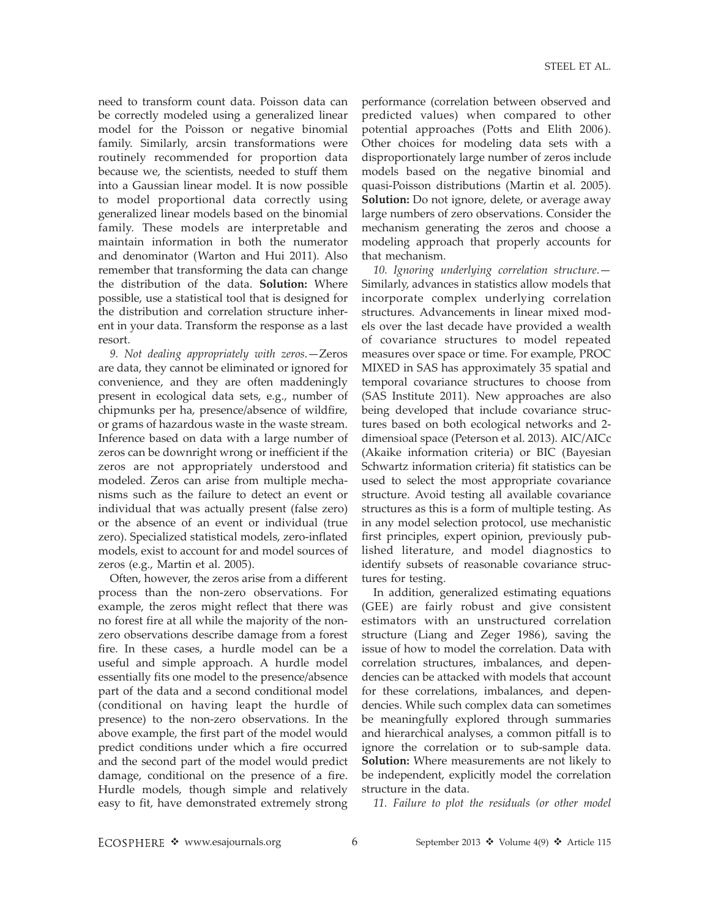need to transform count data. Poisson data can be correctly modeled using a generalized linear model for the Poisson or negative binomial family. Similarly, arcsin transformations were routinely recommended for proportion data because we, the scientists, needed to stuff them into a Gaussian linear model. It is now possible to model proportional data correctly using generalized linear models based on the binomial family. These models are interpretable and maintain information in both the numerator and denominator (Warton and Hui 2011). Also remember that transforming the data can change the distribution of the data. Solution: Where possible, use a statistical tool that is designed for the distribution and correlation structure inherent in your data. Transform the response as a last resort.

9. Not dealing appropriately with zeros.—Zeros are data, they cannot be eliminated or ignored for convenience, and they are often maddeningly present in ecological data sets, e.g., number of chipmunks per ha, presence/absence of wildfire, or grams of hazardous waste in the waste stream. Inference based on data with a large number of zeros can be downright wrong or inefficient if the zeros are not appropriately understood and modeled. Zeros can arise from multiple mechanisms such as the failure to detect an event or individual that was actually present (false zero) or the absence of an event or individual (true zero). Specialized statistical models, zero-inflated models, exist to account for and model sources of zeros (e.g., Martin et al. 2005).

Often, however, the zeros arise from a different process than the non-zero observations. For example, the zeros might reflect that there was no forest fire at all while the majority of the nonzero observations describe damage from a forest fire. In these cases, a hurdle model can be a useful and simple approach. A hurdle model essentially fits one model to the presence/absence part of the data and a second conditional model (conditional on having leapt the hurdle of presence) to the non-zero observations. In the above example, the first part of the model would predict conditions under which a fire occurred and the second part of the model would predict damage, conditional on the presence of a fire. Hurdle models, though simple and relatively easy to fit, have demonstrated extremely strong

performance (correlation between observed and predicted values) when compared to other potential approaches (Potts and Elith 2006). Other choices for modeling data sets with a disproportionately large number of zeros include models based on the negative binomial and quasi-Poisson distributions (Martin et al. 2005). Solution: Do not ignore, delete, or average away large numbers of zero observations. Consider the mechanism generating the zeros and choose a modeling approach that properly accounts for that mechanism.

10. Ignoring underlying correlation structure.— Similarly, advances in statistics allow models that incorporate complex underlying correlation structures. Advancements in linear mixed models over the last decade have provided a wealth of covariance structures to model repeated measures over space or time. For example, PROC MIXED in SAS has approximately 35 spatial and temporal covariance structures to choose from (SAS Institute 2011). New approaches are also being developed that include covariance structures based on both ecological networks and 2 dimensioal space (Peterson et al. 2013). AIC/AICc (Akaike information criteria) or BIC (Bayesian Schwartz information criteria) fit statistics can be used to select the most appropriate covariance structure. Avoid testing all available covariance structures as this is a form of multiple testing. As in any model selection protocol, use mechanistic first principles, expert opinion, previously published literature, and model diagnostics to identify subsets of reasonable covariance structures for testing.

In addition, generalized estimating equations (GEE) are fairly robust and give consistent estimators with an unstructured correlation structure (Liang and Zeger 1986), saving the issue of how to model the correlation. Data with correlation structures, imbalances, and dependencies can be attacked with models that account for these correlations, imbalances, and dependencies. While such complex data can sometimes be meaningfully explored through summaries and hierarchical analyses, a common pitfall is to ignore the correlation or to sub-sample data. Solution: Where measurements are not likely to be independent, explicitly model the correlation structure in the data.

11. Failure to plot the residuals (or other model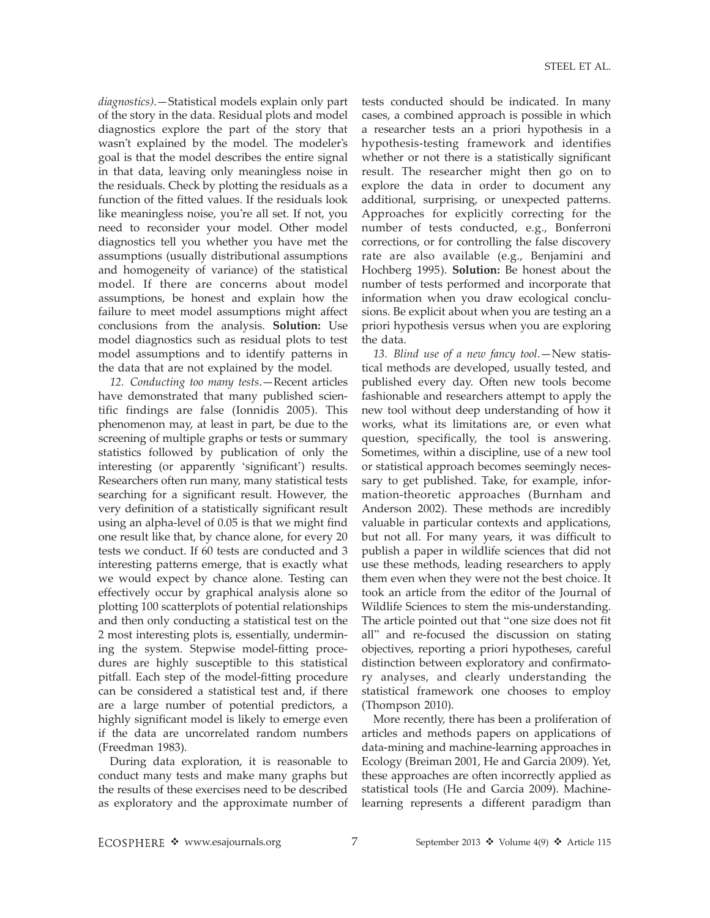diagnostics).—Statistical models explain only part of the story in the data. Residual plots and model diagnostics explore the part of the story that wasn't explained by the model. The modeler's goal is that the model describes the entire signal in that data, leaving only meaningless noise in the residuals. Check by plotting the residuals as a function of the fitted values. If the residuals look like meaningless noise, you're all set. If not, you need to reconsider your model. Other model diagnostics tell you whether you have met the assumptions (usually distributional assumptions and homogeneity of variance) of the statistical model. If there are concerns about model assumptions, be honest and explain how the failure to meet model assumptions might affect conclusions from the analysis. Solution: Use model diagnostics such as residual plots to test model assumptions and to identify patterns in the data that are not explained by the model.

12. Conducting too many tests.—Recent articles have demonstrated that many published scientific findings are false (Ionnidis 2005). This phenomenon may, at least in part, be due to the screening of multiple graphs or tests or summary statistics followed by publication of only the interesting (or apparently 'significant') results. Researchers often run many, many statistical tests searching for a significant result. However, the very definition of a statistically significant result using an alpha-level of 0.05 is that we might find one result like that, by chance alone, for every 20 tests we conduct. If 60 tests are conducted and 3 interesting patterns emerge, that is exactly what we would expect by chance alone. Testing can effectively occur by graphical analysis alone so plotting 100 scatterplots of potential relationships and then only conducting a statistical test on the 2 most interesting plots is, essentially, undermining the system. Stepwise model-fitting procedures are highly susceptible to this statistical pitfall. Each step of the model-fitting procedure can be considered a statistical test and, if there are a large number of potential predictors, a highly significant model is likely to emerge even if the data are uncorrelated random numbers (Freedman 1983).

During data exploration, it is reasonable to conduct many tests and make many graphs but the results of these exercises need to be described as exploratory and the approximate number of tests conducted should be indicated. In many cases, a combined approach is possible in which a researcher tests an a priori hypothesis in a hypothesis-testing framework and identifies whether or not there is a statistically significant result. The researcher might then go on to explore the data in order to document any additional, surprising, or unexpected patterns. Approaches for explicitly correcting for the number of tests conducted, e.g., Bonferroni corrections, or for controlling the false discovery rate are also available (e.g., Benjamini and Hochberg 1995). Solution: Be honest about the number of tests performed and incorporate that information when you draw ecological conclusions. Be explicit about when you are testing an a priori hypothesis versus when you are exploring the data.

13. Blind use of a new fancy tool.—New statistical methods are developed, usually tested, and published every day. Often new tools become fashionable and researchers attempt to apply the new tool without deep understanding of how it works, what its limitations are, or even what question, specifically, the tool is answering. Sometimes, within a discipline, use of a new tool or statistical approach becomes seemingly necessary to get published. Take, for example, information-theoretic approaches (Burnham and Anderson 2002). These methods are incredibly valuable in particular contexts and applications, but not all. For many years, it was difficult to publish a paper in wildlife sciences that did not use these methods, leading researchers to apply them even when they were not the best choice. It took an article from the editor of the Journal of Wildlife Sciences to stem the mis-understanding. The article pointed out that ''one size does not fit all'' and re-focused the discussion on stating objectives, reporting a priori hypotheses, careful distinction between exploratory and confirmatory analyses, and clearly understanding the statistical framework one chooses to employ (Thompson 2010).

More recently, there has been a proliferation of articles and methods papers on applications of data-mining and machine-learning approaches in Ecology (Breiman 2001, He and Garcia 2009). Yet, these approaches are often incorrectly applied as statistical tools (He and Garcia 2009). Machinelearning represents a different paradigm than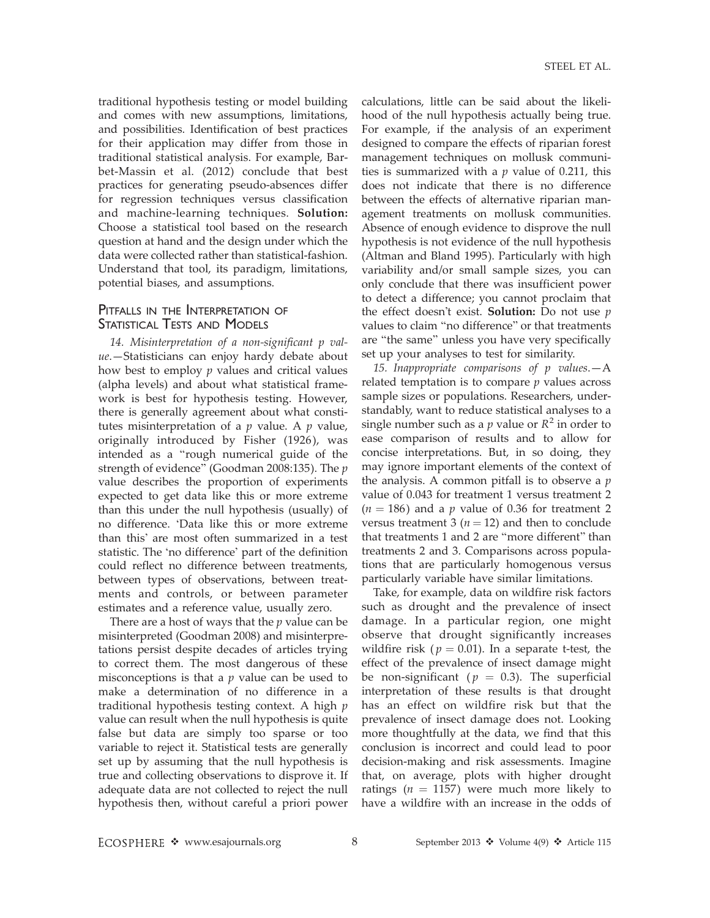traditional hypothesis testing or model building and comes with new assumptions, limitations, and possibilities. Identification of best practices for their application may differ from those in traditional statistical analysis. For example, Barbet-Massin et al. (2012) conclude that best practices for generating pseudo-absences differ for regression techniques versus classification and machine-learning techniques. Solution: Choose a statistical tool based on the research question at hand and the design under which the data were collected rather than statistical-fashion. Understand that tool, its paradigm, limitations, potential biases, and assumptions.

## PITFALLS IN THE INTERPRETATION OF STATISTICAL TESTS AND MODELS

14. Misinterpretation of a non-significant p value.—Statisticians can enjoy hardy debate about how best to employ  $p$  values and critical values (alpha levels) and about what statistical framework is best for hypothesis testing. However, there is generally agreement about what constitutes misinterpretation of a  $p$  value. A  $p$  value, originally introduced by Fisher (1926), was intended as a ''rough numerical guide of the strength of evidence" (Goodman 2008:135). The  $p$ value describes the proportion of experiments expected to get data like this or more extreme than this under the null hypothesis (usually) of no difference. 'Data like this or more extreme than this' are most often summarized in a test statistic. The 'no difference' part of the definition could reflect no difference between treatments, between types of observations, between treatments and controls, or between parameter estimates and a reference value, usually zero.

There are a host of ways that the  $p$  value can be misinterpreted (Goodman 2008) and misinterpretations persist despite decades of articles trying to correct them. The most dangerous of these misconceptions is that a  $p$  value can be used to make a determination of no difference in a traditional hypothesis testing context. A high p value can result when the null hypothesis is quite false but data are simply too sparse or too variable to reject it. Statistical tests are generally set up by assuming that the null hypothesis is true and collecting observations to disprove it. If adequate data are not collected to reject the null hypothesis then, without careful a priori power

calculations, little can be said about the likelihood of the null hypothesis actually being true. For example, if the analysis of an experiment designed to compare the effects of riparian forest management techniques on mollusk communities is summarized with a  $p$  value of 0.211, this does not indicate that there is no difference between the effects of alternative riparian management treatments on mollusk communities. Absence of enough evidence to disprove the null hypothesis is not evidence of the null hypothesis (Altman and Bland 1995). Particularly with high variability and/or small sample sizes, you can only conclude that there was insufficient power to detect a difference; you cannot proclaim that the effect doesn't exist. **Solution:** Do not use  $p$ values to claim ''no difference'' or that treatments are ''the same'' unless you have very specifically set up your analyses to test for similarity.

15. Inappropriate comparisons of  $p$  values. $-A$ related temptation is to compare  $p$  values across sample sizes or populations. Researchers, understandably, want to reduce statistical analyses to a single number such as a p value or  $R^2$  in order to ease comparison of results and to allow for concise interpretations. But, in so doing, they may ignore important elements of the context of the analysis. A common pitfall is to observe a  $p$ value of 0.043 for treatment 1 versus treatment 2  $(n = 186)$  and a p value of 0.36 for treatment 2 versus treatment 3 ( $n = 12$ ) and then to conclude that treatments 1 and 2 are ''more different'' than treatments 2 and 3. Comparisons across populations that are particularly homogenous versus particularly variable have similar limitations.

Take, for example, data on wildfire risk factors such as drought and the prevalence of insect damage. In a particular region, one might observe that drought significantly increases wildfire risk ( $p = 0.01$ ). In a separate t-test, the effect of the prevalence of insect damage might be non-significant ( $p = 0.3$ ). The superficial interpretation of these results is that drought has an effect on wildfire risk but that the prevalence of insect damage does not. Looking more thoughtfully at the data, we find that this conclusion is incorrect and could lead to poor decision-making and risk assessments. Imagine that, on average, plots with higher drought ratings ( $n = 1157$ ) were much more likely to have a wildfire with an increase in the odds of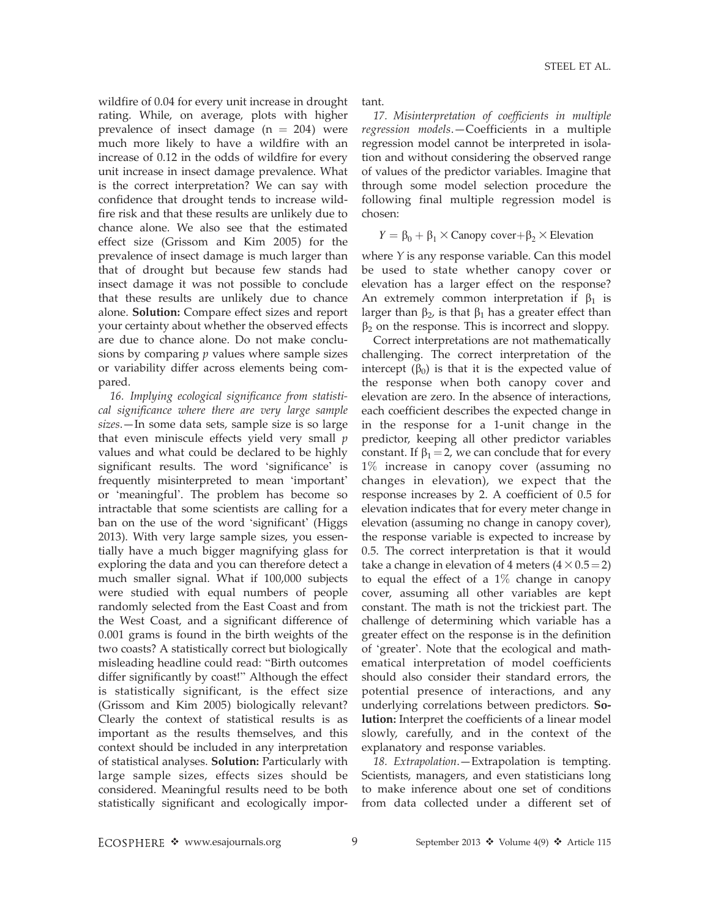wildfire of 0.04 for every unit increase in drought rating. While, on average, plots with higher prevalence of insect damage  $(n = 204)$  were much more likely to have a wildfire with an increase of 0.12 in the odds of wildfire for every unit increase in insect damage prevalence. What is the correct interpretation? We can say with confidence that drought tends to increase wildfire risk and that these results are unlikely due to chance alone. We also see that the estimated effect size (Grissom and Kim 2005) for the prevalence of insect damage is much larger than that of drought but because few stands had insect damage it was not possible to conclude that these results are unlikely due to chance alone. Solution: Compare effect sizes and report your certainty about whether the observed effects are due to chance alone. Do not make conclusions by comparing  $p$  values where sample sizes or variability differ across elements being compared.

16. Implying ecological significance from statistical significance where there are very large sample sizes.—In some data sets, sample size is so large that even miniscule effects yield very small  $p$ values and what could be declared to be highly significant results. The word 'significance' is frequently misinterpreted to mean 'important' or 'meaningful'. The problem has become so intractable that some scientists are calling for a ban on the use of the word 'significant' (Higgs 2013). With very large sample sizes, you essentially have a much bigger magnifying glass for exploring the data and you can therefore detect a much smaller signal. What if 100,000 subjects were studied with equal numbers of people randomly selected from the East Coast and from the West Coast, and a significant difference of 0.001 grams is found in the birth weights of the two coasts? A statistically correct but biologically misleading headline could read: ''Birth outcomes differ significantly by coast!'' Although the effect is statistically significant, is the effect size (Grissom and Kim 2005) biologically relevant? Clearly the context of statistical results is as important as the results themselves, and this context should be included in any interpretation of statistical analyses. Solution: Particularly with large sample sizes, effects sizes should be considered. Meaningful results need to be both statistically significant and ecologically important.

17. Misinterpretation of coefficients in multiple regression models.—Coefficients in a multiple regression model cannot be interpreted in isolation and without considering the observed range of values of the predictor variables. Imagine that through some model selection procedure the following final multiple regression model is chosen:

$$
Y = \beta_0 + \beta_1 \times \text{Canopy cover} + \beta_2 \times \text{Elevation}
$$

where  $Y$  is any response variable. Can this model be used to state whether canopy cover or elevation has a larger effect on the response? An extremely common interpretation if  $\beta_1$  is larger than  $\beta_2$ , is that  $\beta_1$  has a greater effect than  $\beta_2$  on the response. This is incorrect and sloppy.

Correct interpretations are not mathematically challenging. The correct interpretation of the intercept  $(\beta_0)$  is that it is the expected value of the response when both canopy cover and elevation are zero. In the absence of interactions, each coefficient describes the expected change in in the response for a 1-unit change in the predictor, keeping all other predictor variables constant. If  $\beta_1 = 2$ , we can conclude that for every 1% increase in canopy cover (assuming no changes in elevation), we expect that the response increases by 2. A coefficient of 0.5 for elevation indicates that for every meter change in elevation (assuming no change in canopy cover), the response variable is expected to increase by 0.5. The correct interpretation is that it would take a change in elevation of 4 meters  $(4 \times 0.5 = 2)$ to equal the effect of a  $1\%$  change in canopy cover, assuming all other variables are kept constant. The math is not the trickiest part. The challenge of determining which variable has a greater effect on the response is in the definition of 'greater'. Note that the ecological and mathematical interpretation of model coefficients should also consider their standard errors, the potential presence of interactions, and any underlying correlations between predictors. Solution: Interpret the coefficients of a linear model slowly, carefully, and in the context of the explanatory and response variables.

18. Extrapolation.—Extrapolation is tempting. Scientists, managers, and even statisticians long to make inference about one set of conditions from data collected under a different set of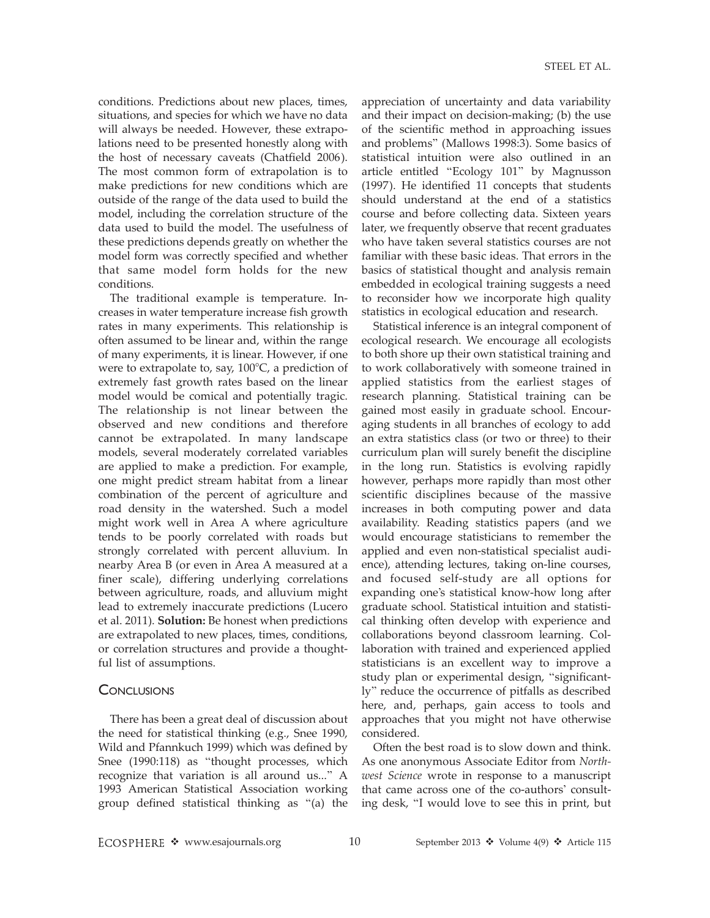conditions. Predictions about new places, times, situations, and species for which we have no data will always be needed. However, these extrapolations need to be presented honestly along with the host of necessary caveats (Chatfield 2006). The most common form of extrapolation is to make predictions for new conditions which are outside of the range of the data used to build the model, including the correlation structure of the data used to build the model. The usefulness of these predictions depends greatly on whether the model form was correctly specified and whether that same model form holds for the new conditions.

The traditional example is temperature. Increases in water temperature increase fish growth rates in many experiments. This relationship is often assumed to be linear and, within the range of many experiments, it is linear. However, if one were to extrapolate to, say,  $100^{\circ}$ C, a prediction of extremely fast growth rates based on the linear model would be comical and potentially tragic. The relationship is not linear between the observed and new conditions and therefore cannot be extrapolated. In many landscape models, several moderately correlated variables are applied to make a prediction. For example, one might predict stream habitat from a linear combination of the percent of agriculture and road density in the watershed. Such a model might work well in Area A where agriculture tends to be poorly correlated with roads but strongly correlated with percent alluvium. In nearby Area B (or even in Area A measured at a finer scale), differing underlying correlations between agriculture, roads, and alluvium might lead to extremely inaccurate predictions (Lucero et al. 2011). Solution: Be honest when predictions are extrapolated to new places, times, conditions, or correlation structures and provide a thoughtful list of assumptions.

#### **CONCLUSIONS**

There has been a great deal of discussion about the need for statistical thinking (e.g., Snee 1990, Wild and Pfannkuch 1999) which was defined by Snee (1990:118) as ''thought processes, which recognize that variation is all around us...'' A 1993 American Statistical Association working group defined statistical thinking as ''(a) the appreciation of uncertainty and data variability and their impact on decision-making; (b) the use of the scientific method in approaching issues and problems'' (Mallows 1998:3). Some basics of statistical intuition were also outlined in an article entitled ''Ecology 101'' by Magnusson (1997). He identified 11 concepts that students should understand at the end of a statistics course and before collecting data. Sixteen years later, we frequently observe that recent graduates who have taken several statistics courses are not familiar with these basic ideas. That errors in the basics of statistical thought and analysis remain embedded in ecological training suggests a need to reconsider how we incorporate high quality statistics in ecological education and research.

Statistical inference is an integral component of ecological research. We encourage all ecologists to both shore up their own statistical training and to work collaboratively with someone trained in applied statistics from the earliest stages of research planning. Statistical training can be gained most easily in graduate school. Encouraging students in all branches of ecology to add an extra statistics class (or two or three) to their curriculum plan will surely benefit the discipline in the long run. Statistics is evolving rapidly however, perhaps more rapidly than most other scientific disciplines because of the massive increases in both computing power and data availability. Reading statistics papers (and we would encourage statisticians to remember the applied and even non-statistical specialist audience), attending lectures, taking on-line courses, and focused self-study are all options for expanding one's statistical know-how long after graduate school. Statistical intuition and statistical thinking often develop with experience and collaborations beyond classroom learning. Collaboration with trained and experienced applied statisticians is an excellent way to improve a study plan or experimental design, ''significantly'' reduce the occurrence of pitfalls as described here, and, perhaps, gain access to tools and approaches that you might not have otherwise considered.

Often the best road is to slow down and think. As one anonymous Associate Editor from Northwest Science wrote in response to a manuscript that came across one of the co-authors' consulting desk, ''I would love to see this in print, but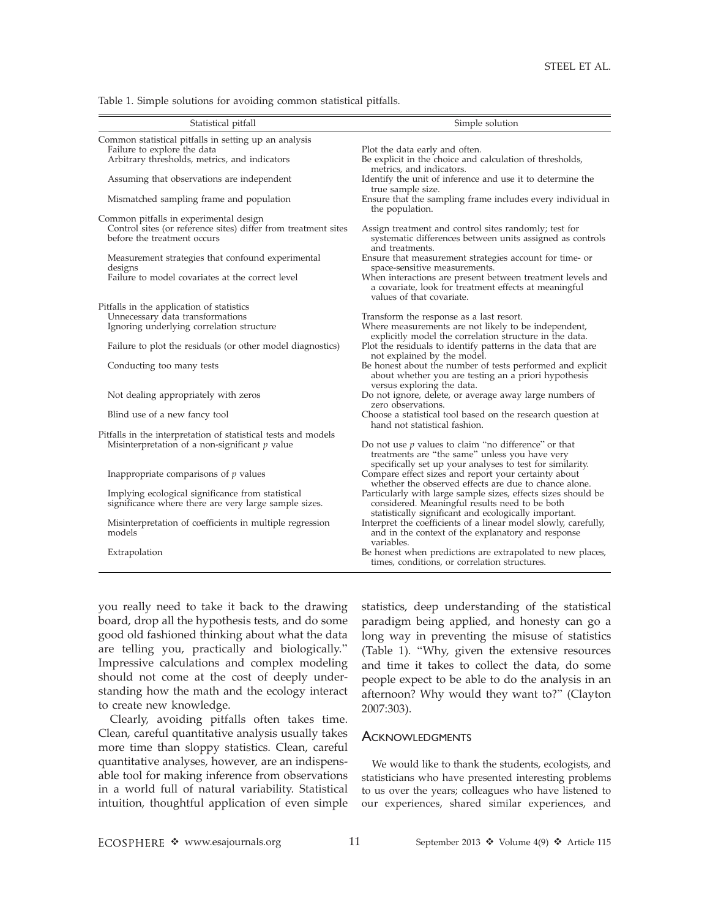Table 1. Simple solutions for avoiding common statistical pitfalls.

| Statistical pitfall                                                                                        | Simple solution                                                                                                                                                          |
|------------------------------------------------------------------------------------------------------------|--------------------------------------------------------------------------------------------------------------------------------------------------------------------------|
| Common statistical pitfalls in setting up an analysis                                                      |                                                                                                                                                                          |
| Failure to explore the data                                                                                | Plot the data early and often.                                                                                                                                           |
| Arbitrary thresholds, metrics, and indicators                                                              | Be explicit in the choice and calculation of thresholds,<br>metrics, and indicators.                                                                                     |
| Assuming that observations are independent                                                                 | Identify the unit of inference and use it to determine the<br>true sample size.                                                                                          |
| Mismatched sampling frame and population                                                                   | Ensure that the sampling frame includes every individual in<br>the population.                                                                                           |
| Common pitfalls in experimental design                                                                     |                                                                                                                                                                          |
| Control sites (or reference sites) differ from treatment sites<br>before the treatment occurs              | Assign treatment and control sites randomly; test for<br>systematic differences between units assigned as controls<br>and treatments.                                    |
| Measurement strategies that confound experimental<br>designs                                               | Ensure that measurement strategies account for time- or<br>space-sensitive measurements.                                                                                 |
| Failure to model covariates at the correct level                                                           | When interactions are present between treatment levels and<br>a covariate, look for treatment effects at meaningful<br>values of that covariate.                         |
| Pitfalls in the application of statistics                                                                  |                                                                                                                                                                          |
| Unnecessary data transformations                                                                           | Transform the response as a last resort.                                                                                                                                 |
| Ignoring underlying correlation structure                                                                  | Where measurements are not likely to be independent,<br>explicitly model the correlation structure in the data.                                                          |
| Failure to plot the residuals (or other model diagnostics)                                                 | Plot the residuals to identify patterns in the data that are<br>not explained by the model.                                                                              |
| Conducting too many tests                                                                                  | Be honest about the number of tests performed and explicit<br>about whether you are testing an a priori hypothesis<br>versus exploring the data.                         |
| Not dealing appropriately with zeros                                                                       | Do not ignore, delete, or average away large numbers of<br>zero observations.                                                                                            |
| Blind use of a new fancy tool                                                                              | Choose a statistical tool based on the research question at<br>hand not statistical fashion.                                                                             |
| Pitfalls in the interpretation of statistical tests and models                                             |                                                                                                                                                                          |
| Misinterpretation of a non-significant $p$ value                                                           | Do not use $p$ values to claim "no difference" or that<br>treatments are "the same" unless you have very<br>specifically set up your analyses to test for similarity.    |
| Inappropriate comparisons of $p$ values                                                                    | Compare effect sizes and report your certainty about<br>whether the observed effects are due to chance alone.                                                            |
| Implying ecological significance from statistical<br>significance where there are very large sample sizes. | Particularly with large sample sizes, effects sizes should be<br>considered. Meaningful results need to be both<br>statistically significant and ecologically important. |
| Misinterpretation of coefficients in multiple regression<br>models                                         | Interpret the coefficients of a linear model slowly, carefully,<br>and in the context of the explanatory and response<br>variables.                                      |
| Extrapolation                                                                                              | Be honest when predictions are extrapolated to new places,<br>times, conditions, or correlation structures.                                                              |

you really need to take it back to the drawing board, drop all the hypothesis tests, and do some good old fashioned thinking about what the data are telling you, practically and biologically.'' Impressive calculations and complex modeling should not come at the cost of deeply understanding how the math and the ecology interact to create new knowledge.

Clearly, avoiding pitfalls often takes time. Clean, careful quantitative analysis usually takes more time than sloppy statistics. Clean, careful quantitative analyses, however, are an indispensable tool for making inference from observations in a world full of natural variability. Statistical intuition, thoughtful application of even simple statistics, deep understanding of the statistical paradigm being applied, and honesty can go a long way in preventing the misuse of statistics (Table 1). ''Why, given the extensive resources and time it takes to collect the data, do some people expect to be able to do the analysis in an afternoon? Why would they want to?'' (Clayton 2007:303).

#### **ACKNOWLEDGMENTS**

We would like to thank the students, ecologists, and statisticians who have presented interesting problems to us over the years; colleagues who have listened to our experiences, shared similar experiences, and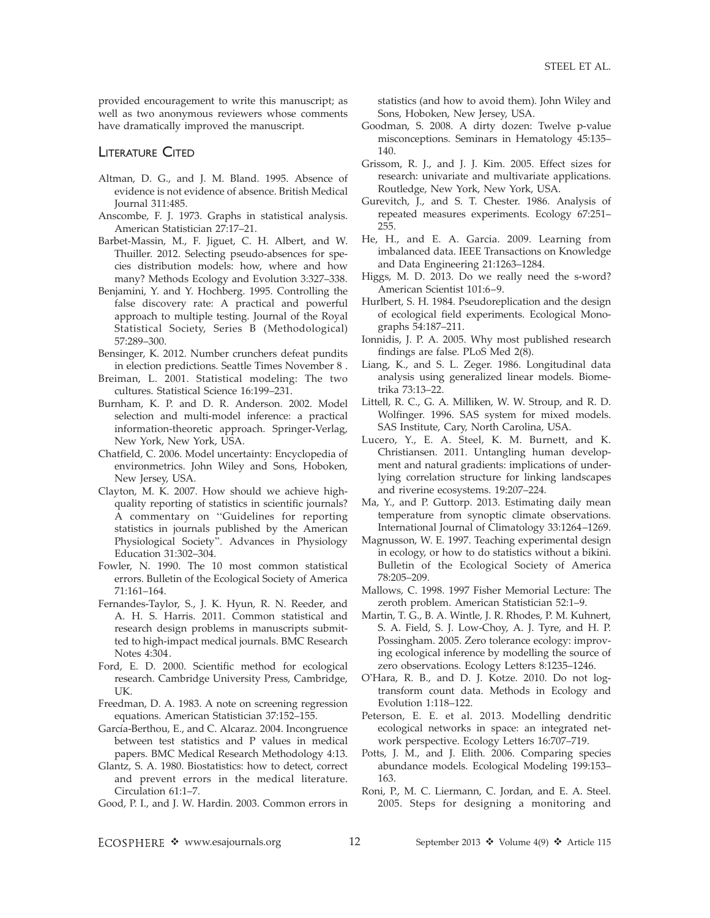provided encouragement to write this manuscript; as well as two anonymous reviewers whose comments have dramatically improved the manuscript.

### **LITERATURE CITED**

- Altman, D. G., and J. M. Bland. 1995. Absence of evidence is not evidence of absence. British Medical Journal 311:485.
- Anscombe, F. J. 1973. Graphs in statistical analysis. American Statistician 27:17–21.
- Barbet-Massin, M., F. Jiguet, C. H. Albert, and W. Thuiller. 2012. Selecting pseudo-absences for species distribution models: how, where and how many? Methods Ecology and Evolution 3:327–338.
- Benjamini, Y. and Y. Hochberg. 1995. Controlling the false discovery rate: A practical and powerful approach to multiple testing. Journal of the Royal Statistical Society, Series B (Methodological) 57:289–300.
- Bensinger, K. 2012. Number crunchers defeat pundits in election predictions. Seattle Times November 8 .
- Breiman, L. 2001. Statistical modeling: The two cultures. Statistical Science 16:199–231.
- Burnham, K. P. and D. R. Anderson. 2002. Model selection and multi-model inference: a practical information-theoretic approach. Springer-Verlag, New York, New York, USA.
- Chatfield, C. 2006. Model uncertainty: Encyclopedia of environmetrics. John Wiley and Sons, Hoboken, New Jersey, USA.
- Clayton, M. K. 2007. How should we achieve highquality reporting of statistics in scientific journals? A commentary on ''Guidelines for reporting statistics in journals published by the American Physiological Society''. Advances in Physiology Education 31:302–304.
- Fowler, N. 1990. The 10 most common statistical errors. Bulletin of the Ecological Society of America 71:161–164.
- Fernandes-Taylor, S., J. K. Hyun, R. N. Reeder, and A. H. S. Harris. 2011. Common statistical and research design problems in manuscripts submitted to high-impact medical journals. BMC Research Notes 4:304.
- Ford, E. D. 2000. Scientific method for ecological research. Cambridge University Press, Cambridge, UK.
- Freedman, D. A. 1983. A note on screening regression equations. American Statistician 37:152–155.
- García-Berthou, E., and C. Alcaraz. 2004. Incongruence between test statistics and P values in medical papers. BMC Medical Research Methodology 4:13.
- Glantz, S. A. 1980. Biostatistics: how to detect, correct and prevent errors in the medical literature. Circulation 61:1–7.
- Good, P. I., and J. W. Hardin. 2003. Common errors in

statistics (and how to avoid them). John Wiley and Sons, Hoboken, New Jersey, USA.

- Goodman, S. 2008. A dirty dozen: Twelve p-value misconceptions. Seminars in Hematology 45:135– 140.
- Grissom, R. J., and J. J. Kim. 2005. Effect sizes for research: univariate and multivariate applications. Routledge, New York, New York, USA.
- Gurevitch, J., and S. T. Chester. 1986. Analysis of repeated measures experiments. Ecology 67:251– 255.
- He, H., and E. A. Garcia. 2009. Learning from imbalanced data. IEEE Transactions on Knowledge and Data Engineering 21:1263–1284.
- Higgs, M. D. 2013. Do we really need the s-word? American Scientist 101:6–9.
- Hurlbert, S. H. 1984. Pseudoreplication and the design of ecological field experiments. Ecological Monographs 54:187–211.
- Ionnidis, J. P. A. 2005. Why most published research findings are false. PLoS Med 2(8).
- Liang, K., and S. L. Zeger. 1986. Longitudinal data analysis using generalized linear models. Biometrika 73:13–22.
- Littell, R. C., G. A. Milliken, W. W. Stroup, and R. D. Wolfinger. 1996. SAS system for mixed models. SAS Institute, Cary, North Carolina, USA.
- Lucero, Y., E. A. Steel, K. M. Burnett, and K. Christiansen. 2011. Untangling human development and natural gradients: implications of underlying correlation structure for linking landscapes and riverine ecosystems. 19:207–224.
- Ma, Y., and P. Guttorp. 2013. Estimating daily mean temperature from synoptic climate observations. International Journal of Climatology 33:1264–1269.
- Magnusson, W. E. 1997. Teaching experimental design in ecology, or how to do statistics without a bikini. Bulletin of the Ecological Society of America 78:205–209.
- Mallows, C. 1998. 1997 Fisher Memorial Lecture: The zeroth problem. American Statistician 52:1–9.
- Martin, T. G., B. A. Wintle, J. R. Rhodes, P. M. Kuhnert, S. A. Field, S. J. Low-Choy, A. J. Tyre, and H. P. Possingham. 2005. Zero tolerance ecology: improving ecological inference by modelling the source of zero observations. Ecology Letters 8:1235–1246.
- O'Hara, R. B., and D. J. Kotze. 2010. Do not logtransform count data. Methods in Ecology and Evolution 1:118–122.
- Peterson, E. E. et al. 2013. Modelling dendritic ecological networks in space: an integrated network perspective. Ecology Letters 16:707–719.
- Potts, J. M., and J. Elith. 2006. Comparing species abundance models. Ecological Modeling 199:153– 163.
- Roni, P., M. C. Liermann, C. Jordan, and E. A. Steel. 2005. Steps for designing a monitoring and